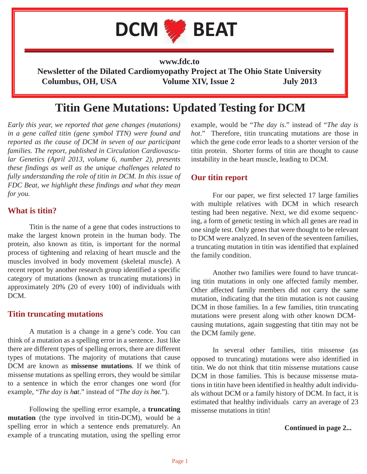

**www.fdc.to Newsletter of the Dilated Cardiomyopathy Project at The Ohio State University Columbus, OH, USA Volume XIV, Issue 2 July 2013**

# **Titin Gene Mutations: Updated Testing for DCM**

*Early this year, we reported that gene changes (mutations) in a gene called titin (gene symbol TTN) were found and reported as the cause of DCM in seven of our participant families. The report, published in Circulation Cardiovascular Genetics (April 2013, volume 6, number 2), presents these findings as well as the unique challenges related to fully understanding the role of titin in DCM. In this issue of FDC Beat, we highlight these findings and what they mean for you.* 

### **What is titin?**

 Titin is the name of a gene that codes instructions to make the largest known protein in the human body. The protein, also known as titin, is important for the normal process of tightening and relaxing of heart muscle and the muscles involved in body movement (skeletal muscle). A recent report by another research group identified a specific category of mutations (known as truncating mutations) in approximately 20% (20 of every 100) of individuals with DCM.

#### **Titin truncating mutations**

 A mutation is a change in a gene's code. You can think of a mutation as a spelling error in a sentence. Just like there are different types of spelling errors, there are different types of mutations. The majority of mutations that cause DCM are known as **missense mutations**. If we think of missense mutations as spelling errors, they would be similar to a sentence in which the error changes one word (for example, "*The day is hat*." instead of "*The day is hot*.").

 Following the spelling error example, a **truncating mutation** (the type involved in titin-DCM), would be a spelling error in which a sentence ends prematurely. An example of a truncating mutation, using the spelling error

example, would be "*The day is*." instead of "*The day is hot*." Therefore, titin truncating mutations are those in which the gene code error leads to a shorter version of the titin protein. Shorter forms of titin are thought to cause instability in the heart muscle, leading to DCM.

### **Our titin report**

 For our paper, we first selected 17 large families with multiple relatives with DCM in which research testing had been negative. Next, we did exome sequencing, a form of genetic testing in which all genes are read in one single test. Only genes that were thought to be relevant to DCM were analyzed. In seven of the seventeen families, a truncating mutation in titin was identified that explained the family condition.

 Another two families were found to have truncating titin mutations in only one affected family member. Other affected family members did not carry the same mutation, indicating that the titin mutation is not causing DCM in those families. In a few families, titin truncating mutations were present along with other known DCMcausing mutations, again suggesting that titin may not be the DCM family gene.

 In several other families, titin missense (as opposed to truncating) mutations were also identified in titin. We do not think that titin missense mutations cause DCM in those families. This is because missense mutations in titin have been identified in healthy adult individuals without DCM or a family history of DCM. In fact, it is estimated that healthy individuals carry an average of 23 missense mutations in titin!

#### **Continued in page 2...**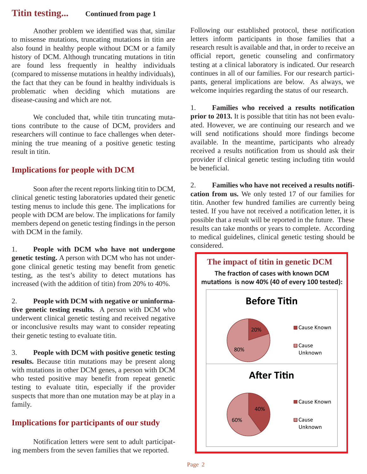## **Titin testing... Continued from page 1**

 Another problem we identified was that, similar to missense mutations, truncating mutations in titin are also found in healthy people without DCM or a family history of DCM. Although truncating mutations in titin are found less frequently in healthy individuals (compared to missense mutations in healthy individuals), the fact that they can be found in healthy individuals is problematic when deciding which mutations are disease-causing and which are not.

 We concluded that, while titin truncating mutations contribute to the cause of DCM, providers and researchers will continue to face challenges when determining the true meaning of a positive genetic testing result in titin.

### **Implications for people with DCM**

 Soon after the recent reports linking titin to DCM, clinical genetic testing laboratories updated their genetic testing menus to include this gene. The implications for people with DCM are below. The implications for family members depend on genetic testing findings in the person with DCM in the family.

1. **People with DCM who have not undergone genetic testing.** A person with DCM who has not undergone clinical genetic testing may benefit from genetic testing, as the test's ability to detect mutations has increased (with the addition of titin) from 20% to 40%.

2. **People with DCM with negative or uninformative genetic testing results.** A person with DCM who underwent clinical genetic testing and received negative or inconclusive results may want to consider repeating their genetic testing to evaluate titin.

3. **People with DCM with positive genetic testing results.** Because titin mutations may be present along with mutations in other DCM genes, a person with DCM who tested positive may benefit from repeat genetic testing to evaluate titin, especially if the provider suspects that more than one mutation may be at play in a family.

# **Implications for participants of our study**

 Notification letters were sent to adult participating members from the seven families that we reported.

Following our established protocol, these notification letters inform participants in those families that a research result is available and that, in order to receive an official report, genetic counseling and confirmatory testing at a clinical laboratory is indicated. Our research continues in all of our families. For our research participants, general implications are below. As always, we welcome inquiries regarding the status of our research.

1. **Families who received a results notification prior to 2013.** It is possible that titin has not been evaluated. However, we are continuing our research and we will send notifications should more findings become available. In the meantime, participants who already received a results notification from us should ask their provider if clinical genetic testing including titin would be beneficial.

2. **Families who have not received a results notification from us.** We only tested 17 of our families for titin. Another few hundred families are currently being tested. If you have not received a notification letter, it is possible that a result will be reported in the future. These results can take months or years to complete. According to medical guidelines, clinical genetic testing should be considered.

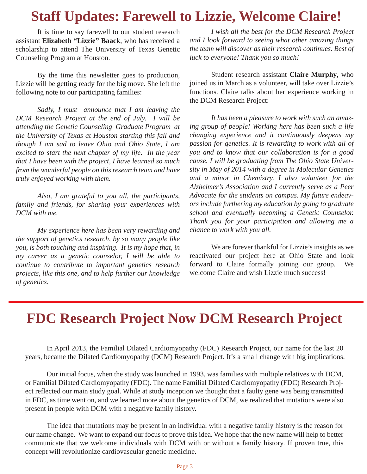# **Staff Updates: Farewell to Lizzie, Welcome Claire!**

 It is time to say farewell to our student research assistant **Elizabeth "Lizzie" Baack**, who has received a scholarship to attend The University of Texas Genetic Counseling Program at Houston.

 By the time this newsletter goes to production, Lizzie will be getting ready for the big move. She left the following note to our participating families:

*Sadly, I must announce that I am leaving the DCM Research Project at the end of July. I will be attending the Genetic Counseling Graduate Program at the University of Texas at Houston starting this fall and though I am sad to leave Ohio and Ohio State, I am excited to start the next chapter of my life. In the year that I have been with the project, I have learned so much from the wonderful people on this research team and have truly enjoyed working with them.* 

 *Also, I am grateful to you all, the participants, family and friends, for sharing your experiences with DCM with me.* 

 *My experience here has been very rewarding and the support of genetics research, by so many people like you, is both touching and inspiring. It is my hope that, in my career as a genetic counselor, I will be able to continue to contribute to important genetics research projects, like this one, and to help further our knowledge of genetics.* 

 *I wish all the best for the DCM Research Project and I look forward to seeing what other amazing things the team will discover as their research continues. Best of luck to everyone! Thank you so much!* 

 Student research assistant **Claire Murphy**, who joined us in March as a volunteer, will take over Lizzie's functions. Claire talks about her experience working in the DCM Research Project:

*It has been a pleasure to work with such an amazing group of people! Working here has been such a life changing experience and it continuously deepens my passion for genetics. It is rewarding to work with all of you and to know that our collaboration is for a good cause. I will be graduating from The Ohio State University in May of 2014 with a degree in Molecular Genetics and a minor in Chemistry. I also volunteer for the Alzheimer's Association and I currently serve as a Peer Advocate for the students on campus. My future endeavors include furthering my education by going to graduate school and eventually becoming a Genetic Counselor. Thank you for your participation and allowing me a chance to work with you all.*

 We are forever thankful for Lizzie's insights as we reactivated our project here at Ohio State and look forward to Claire formally joining our group. We welcome Claire and wish Lizzie much success!

# **FDC Research Project Now DCM Research Project**

 In April 2013, the Familial Dilated Cardiomyopathy (FDC) Research Project, our name for the last 20 years, became the Dilated Cardiomyopathy (DCM) Research Project. It's a small change with big implications.

 Our initial focus, when the study was launched in 1993, was families with multiple relatives with DCM, or Familial Dilated Cardiomyopathy (FDC). The name Familial Dilated Cardiomyopathy (FDC) Research Project reflected our main study goal. While at study inception we thought that a faulty gene was being transmitted in FDC, as time went on, and we learned more about the genetics of DCM, we realized that mutations were also present in people with DCM with a negative family history.

 The idea that mutations may be present in an individual with a negative family history is the reason for our name change. We want to expand our focus to prove this idea. We hope that the new name will help to better communicate that we welcome individuals with DCM with or without a family history. If proven true, this concept will revolutionize cardiovascular genetic medicine.